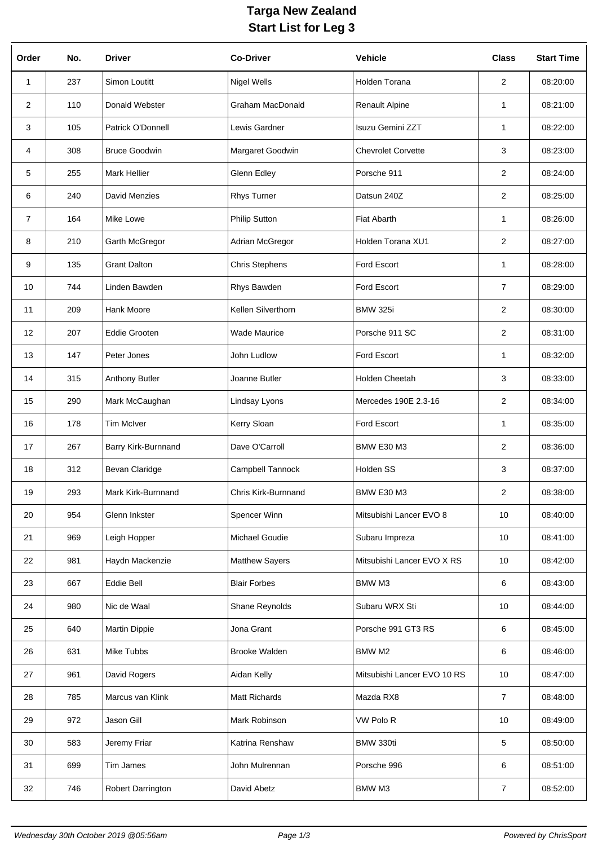## **Targa New Zealand Start List for Leg 3**

| Order          | No. | <b>Driver</b>        | <b>Co-Driver</b>        | <b>Vehicle</b>              | <b>Class</b>    | <b>Start Time</b> |
|----------------|-----|----------------------|-------------------------|-----------------------------|-----------------|-------------------|
| 1              | 237 | Simon Loutitt        | <b>Nigel Wells</b>      | Holden Torana               | $\overline{2}$  | 08:20:00          |
| $\overline{2}$ | 110 | Donald Webster       | <b>Graham MacDonald</b> | <b>Renault Alpine</b>       | $\mathbf{1}$    | 08:21:00          |
| 3              | 105 | Patrick O'Donnell    | Lewis Gardner           | Isuzu Gemini ZZT            | 1               | 08:22:00          |
| 4              | 308 | <b>Bruce Goodwin</b> | Margaret Goodwin        | <b>Chevrolet Corvette</b>   | 3               | 08:23:00          |
| 5              | 255 | <b>Mark Hellier</b>  | Glenn Edley             | Porsche 911                 | $\overline{2}$  | 08:24:00          |
| 6              | 240 | David Menzies        | Rhys Turner             | Datsun 240Z                 | $\overline{2}$  | 08:25:00          |
| $\overline{7}$ | 164 | Mike Lowe            | Philip Sutton           | Fiat Abarth                 | $\mathbf{1}$    | 08:26:00          |
| 8              | 210 | Garth McGregor       | Adrian McGregor         | Holden Torana XU1           | $\overline{2}$  | 08:27:00          |
| 9              | 135 | <b>Grant Dalton</b>  | <b>Chris Stephens</b>   | Ford Escort                 | $\mathbf{1}$    | 08:28:00          |
| 10             | 744 | Linden Bawden        | Rhys Bawden             | <b>Ford Escort</b>          | $\overline{7}$  | 08:29:00          |
| 11             | 209 | Hank Moore           | Kellen Silverthorn      | <b>BMW 325i</b>             | $\overline{2}$  | 08:30:00          |
| 12             | 207 | <b>Eddie Grooten</b> | <b>Wade Maurice</b>     | Porsche 911 SC              | $\overline{2}$  | 08:31:00          |
| 13             | 147 | Peter Jones          | John Ludlow             | Ford Escort                 | 1               | 08:32:00          |
| 14             | 315 | Anthony Butler       | Joanne Butler           | Holden Cheetah              | 3               | 08:33:00          |
| 15             | 290 | Mark McCaughan       | Lindsay Lyons           | Mercedes 190E 2.3-16        | 2               | 08:34:00          |
| 16             | 178 | <b>Tim McIver</b>    | Kerry Sloan             | Ford Escort                 | $\mathbf{1}$    | 08:35:00          |
| 17             | 267 | Barry Kirk-Burnnand  | Dave O'Carroll          | <b>BMW E30 M3</b>           | $\overline{2}$  | 08:36:00          |
| 18             | 312 | Bevan Claridge       | Campbell Tannock        | Holden SS                   | 3               | 08:37:00          |
| 19             | 293 | Mark Kirk-Burnnand   | Chris Kirk-Burnnand     | <b>BMW E30 M3</b>           | $\overline{2}$  | 08:38:00          |
| 20             | 954 | Glenn Inkster        | Spencer Winn            | Mitsubishi Lancer EVO 8     | 10 <sup>1</sup> | 08:40:00          |
| 21             | 969 | Leigh Hopper         | Michael Goudie          | Subaru Impreza              | 10              | 08:41:00          |
| 22             | 981 | Haydn Mackenzie      | <b>Matthew Sayers</b>   | Mitsubishi Lancer EVO X RS  | 10 <sup>1</sup> | 08:42:00          |
| 23             | 667 | Eddie Bell           | <b>Blair Forbes</b>     | BMW M3                      | 6               | 08:43:00          |
| 24             | 980 | Nic de Waal          | Shane Reynolds          | Subaru WRX Sti              | 10              | 08:44:00          |
| 25             | 640 | <b>Martin Dippie</b> | Jona Grant              | Porsche 991 GT3 RS          | 6               | 08:45:00          |
| 26             | 631 | Mike Tubbs           | <b>Brooke Walden</b>    | BMW M2                      | 6               | 08:46:00          |
| 27             | 961 | David Rogers         | Aidan Kelly             | Mitsubishi Lancer EVO 10 RS | 10 <sup>1</sup> | 08:47:00          |
| 28             | 785 | Marcus van Klink     | Matt Richards           | Mazda RX8                   | $\overline{7}$  | 08:48:00          |
| 29             | 972 | Jason Gill           | Mark Robinson           | VW Polo R                   | 10              | 08:49:00          |
| 30             | 583 | Jeremy Friar         | Katrina Renshaw         | BMW 330ti                   | 5               | 08:50:00          |
| 31             | 699 | Tim James            | John Mulrennan          | Porsche 996                 | 6               | 08:51:00          |
| 32             | 746 | Robert Darrington    | David Abetz             | BMW M3                      | $\overline{7}$  | 08:52:00          |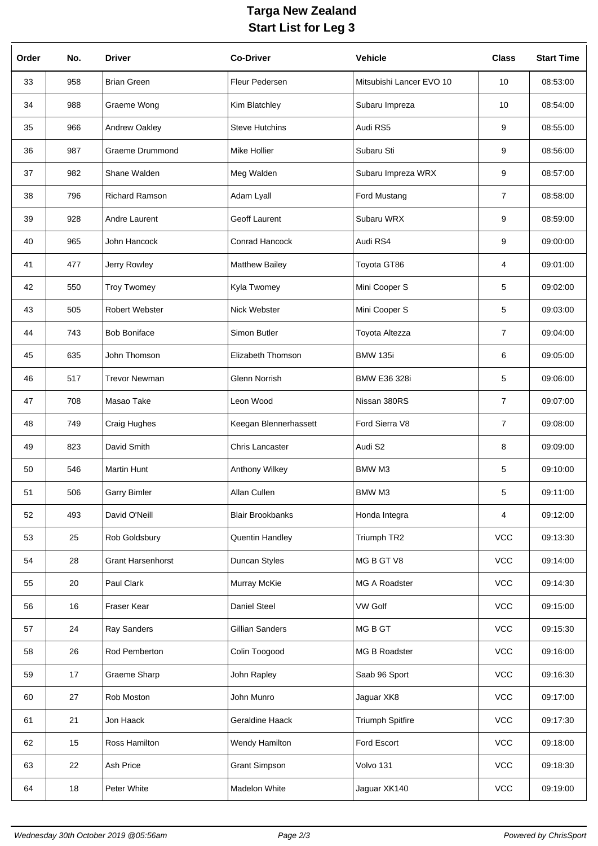## **Targa New Zealand Start List for Leg 3**

| Order | No. | <b>Driver</b>            | <b>Co-Driver</b>        | <b>Vehicle</b>           | <b>Class</b>   | <b>Start Time</b> |
|-------|-----|--------------------------|-------------------------|--------------------------|----------------|-------------------|
| 33    | 958 | <b>Brian Green</b>       | Fleur Pedersen          | Mitsubishi Lancer EVO 10 | 10             | 08:53:00          |
| 34    | 988 | Graeme Wong              | Kim Blatchley           | Subaru Impreza           | 10             | 08:54:00          |
| 35    | 966 | Andrew Oakley            | <b>Steve Hutchins</b>   | Audi RS5                 | 9              | 08:55:00          |
| 36    | 987 | <b>Graeme Drummond</b>   | <b>Mike Hollier</b>     | Subaru Sti               | 9              | 08:56:00          |
| 37    | 982 | Shane Walden             | Meg Walden              | Subaru Impreza WRX       | 9              | 08:57:00          |
| 38    | 796 | <b>Richard Ramson</b>    | Adam Lyall              | Ford Mustang             | 7              | 08:58:00          |
| 39    | 928 | Andre Laurent            | Geoff Laurent           | Subaru WRX               | 9              | 08:59:00          |
| 40    | 965 | John Hancock             | Conrad Hancock          | Audi RS4                 | 9              | 09:00:00          |
| 41    | 477 | Jerry Rowley             | <b>Matthew Bailey</b>   | Toyota GT86              | 4              | 09:01:00          |
| 42    | 550 | <b>Troy Twomey</b>       | Kyla Twomey             | Mini Cooper S            | 5              | 09:02:00          |
| 43    | 505 | Robert Webster           | Nick Webster            | Mini Cooper S            | 5              | 09:03:00          |
| 44    | 743 | <b>Bob Boniface</b>      | Simon Butler            | Toyota Altezza           | $\overline{7}$ | 09:04:00          |
| 45    | 635 | John Thomson             | Elizabeth Thomson       | <b>BMW 135i</b>          | 6              | 09:05:00          |
| 46    | 517 | <b>Trevor Newman</b>     | Glenn Norrish           | <b>BMW E36 328i</b>      | 5              | 09:06:00          |
| 47    | 708 | Masao Take               | Leon Wood               | Nissan 380RS             | 7              | 09:07:00          |
| 48    | 749 | Craig Hughes             | Keegan Blennerhassett   | Ford Sierra V8           | $\overline{7}$ | 09:08:00          |
| 49    | 823 | David Smith              | Chris Lancaster         | Audi S2                  | 8              | 09:09:00          |
| 50    | 546 | <b>Martin Hunt</b>       | Anthony Wilkey          | <b>BMW M3</b>            | 5              | 09:10:00          |
| 51    | 506 | <b>Garry Bimler</b>      | Allan Cullen            | BMW M3                   | 5              | 09:11:00          |
| 52    | 493 | David O'Neill            | <b>Blair Brookbanks</b> | Honda Integra            | 4              | 09:12:00          |
| 53    | 25  | Rob Goldsbury            | Quentin Handley         | Triumph TR2              | <b>VCC</b>     | 09:13:30          |
| 54    | 28  | <b>Grant Harsenhorst</b> | Duncan Styles           | MG B GT V8               | <b>VCC</b>     | 09:14:00          |
| 55    | 20  | Paul Clark               | Murray McKie            | MG A Roadster            | <b>VCC</b>     | 09:14:30          |
| 56    | 16  | Fraser Kear              | Daniel Steel            | <b>VW Golf</b>           | <b>VCC</b>     | 09:15:00          |
| 57    | 24  | Ray Sanders              | Gillian Sanders         | MG B GT                  | <b>VCC</b>     | 09:15:30          |
| 58    | 26  | Rod Pemberton            | Colin Toogood           | MG B Roadster            | <b>VCC</b>     | 09:16:00          |
| 59    | 17  | Graeme Sharp             | John Rapley             | Saab 96 Sport            | <b>VCC</b>     | 09:16:30          |
| 60    | 27  | Rob Moston               | John Munro              | Jaguar XK8               | <b>VCC</b>     | 09:17:00          |
| 61    | 21  | Jon Haack                | Geraldine Haack         | <b>Triumph Spitfire</b>  | <b>VCC</b>     | 09:17:30          |
| 62    | 15  | Ross Hamilton            | Wendy Hamilton          | Ford Escort              | <b>VCC</b>     | 09:18:00          |
| 63    | 22  | Ash Price                | <b>Grant Simpson</b>    | Volvo 131                | VCC            | 09:18:30          |
| 64    | 18  | Peter White              | Madelon White           | Jaguar XK140             | VCC            | 09:19:00          |